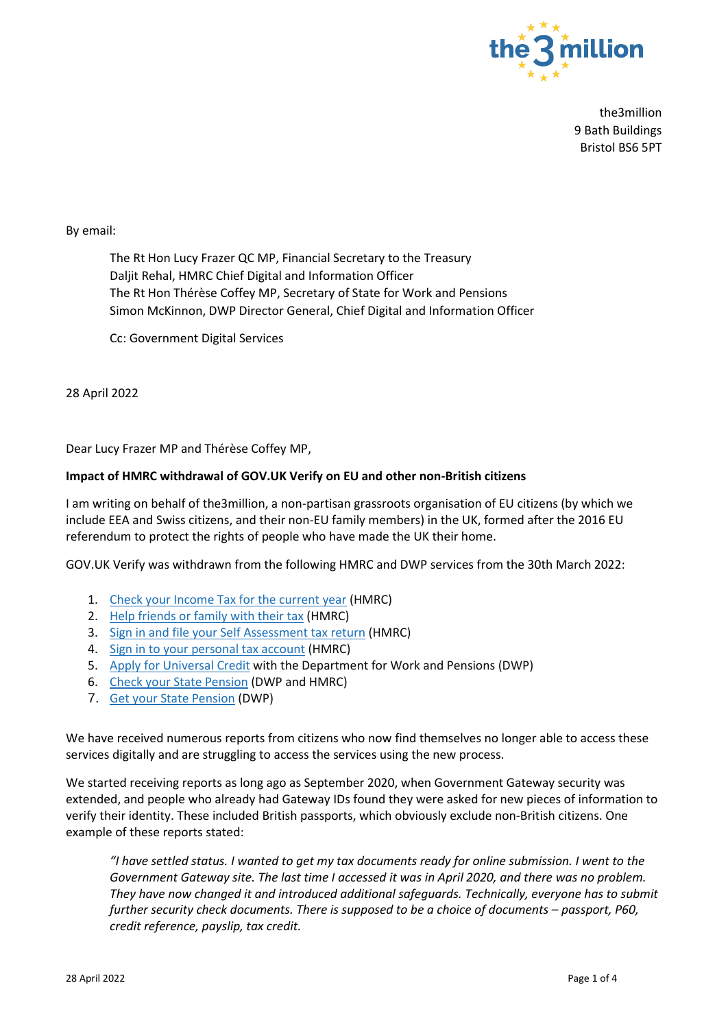

the3million 9 Bath Buildings Bristol BS6 5PT

By email:

The Rt Hon Lucy Frazer QC MP, Financial Secretary to the Treasury Daljit Rehal, HMRC Chief Digital and Information Officer The Rt Hon Thérèse Coffey MP, Secretary of State for Work and Pensions Simon McKinnon, DWP Director General, Chief Digital and Information Officer

Cc: Government Digital Services

28 April 2022

Dear Lucy Frazer MP and Thérèse Coffey MP,

## **Impact of HMRC withdrawal of GOV.UK Verify on EU and other non-British citizens**

I am writing on behalf of the3million, a non-partisan grassroots organisation of EU citizens (by which we include EEA and Swiss citizens, and their non-EU family members) in the UK, formed after the 2016 EU referendum to protect the rights of people who have made the UK their home.

GOV.UK Verify was withdrawn from the following HMRC and DWP services from the 30th March 2022:

- 1. [Check your Income Tax for the current year](https://www.gov.uk/check-income-tax-current-year) (HMRC)
- 2. [Help friends or family with their tax](https://www.gov.uk/help-friends-family-tax) (HMRC)
- 3. [Sign in and file your Self Assessment tax return](https://www.gov.uk/log-in-file-self-assessment-tax-return) (HMRC)
- 4. [Sign in to your personal tax account](https://www.gov.uk/personal-tax-account) (HMRC)
- 5. [Apply for Universal Credit](https://www.gov.uk/apply-universal-credit) with the Department for Work and Pensions (DWP)
- 6. [Check your State Pension](https://www.gov.uk/check-state-pension) (DWP and HMRC)
- 7. [Get your State Pension](https://www.gov.uk/get-state-pension) (DWP)

We have received numerous reports from citizens who now find themselves no longer able to access these services digitally and are struggling to access the services using the new process.

We started receiving reports as long ago as September 2020, when Government Gateway security was extended, and people who already had Gateway IDs found they were asked for new pieces of information to verify their identity. These included British passports, which obviously exclude non-British citizens. One example of these reports stated:

*"I have settled status. I wanted to get my tax documents ready for online submission. I went to the Government Gateway site. The last time I accessed it was in April 2020, and there was no problem. They have now changed it and introduced additional safeguards. Technically, everyone has to submit further security check documents. There is supposed to be a choice of documents – passport, P60, credit reference, payslip, tax credit.*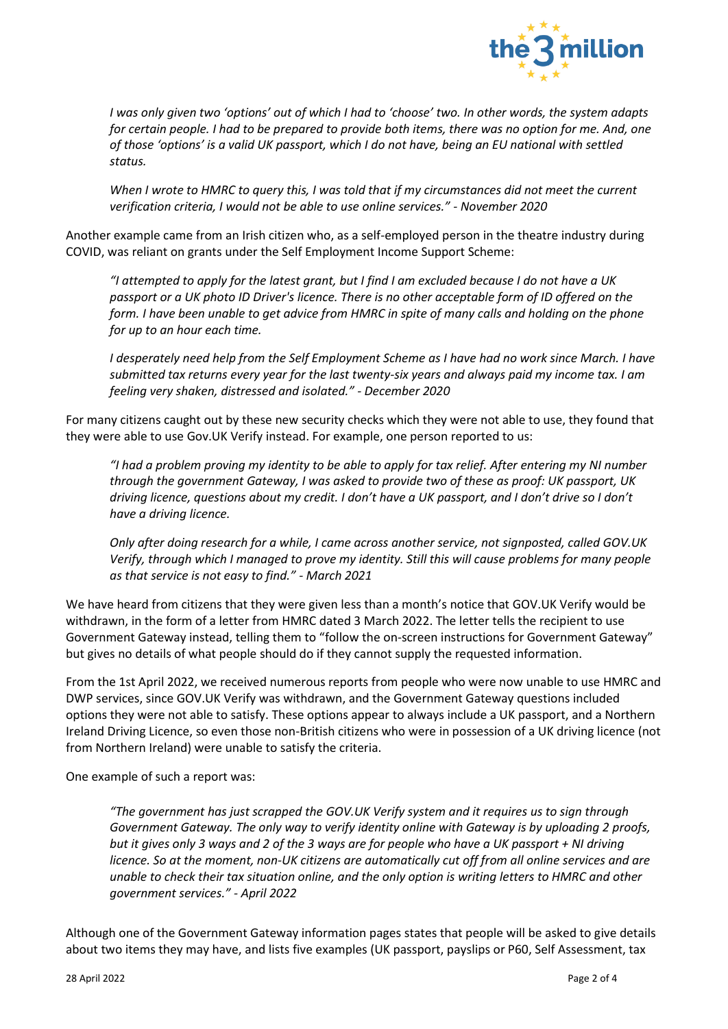

*I was only given two 'options' out of which I had to 'choose' two. In other words, the system adapts for certain people. I had to be prepared to provide both items, there was no option for me. And, one of those 'options' is a valid UK passport, which I do not have, being an EU national with settled status.*

*When I wrote to HMRC to query this, I was told that if my circumstances did not meet the current verification criteria, I would not be able to use online services." - November 2020*

Another example came from an Irish citizen who, as a self-employed person in the theatre industry during COVID, was reliant on grants under the Self Employment Income Support Scheme:

*"I attempted to apply for the latest grant, but I find I am excluded because I do not have a UK passport or a UK photo ID Driver's licence. There is no other acceptable form of ID offered on the form. I have been unable to get advice from HMRC in spite of many calls and holding on the phone for up to an hour each time.*

*I desperately need help from the Self Employment Scheme as I have had no work since March. I have submitted tax returns every year for the last twenty-six years and always paid my income tax. I am feeling very shaken, distressed and isolated." - December 2020*

For many citizens caught out by these new security checks which they were not able to use, they found that they were able to use Gov.UK Verify instead. For example, one person reported to us:

*"I had a problem proving my identity to be able to apply for tax relief. After entering my NI number through the government Gateway, I was asked to provide two of these as proof: UK passport, UK driving licence, questions about my credit. I don't have a UK passport, and I don't drive so I don't have a driving licence.*

*Only after doing research for a while, I came across another service, not signposted, called GOV.UK Verify, through which I managed to prove my identity. Still this will cause problems for many people as that service is not easy to find." - March 2021*

We have heard from citizens that they were given less than a month's notice that GOV.UK Verify would be withdrawn, in the form of a letter from HMRC dated 3 March 2022. The letter tells the recipient to use Government Gateway instead, telling them to "follow the on-screen instructions for Government Gateway" but gives no details of what people should do if they cannot supply the requested information.

From the 1st April 2022, we received numerous reports from people who were now unable to use HMRC and DWP services, since GOV.UK Verify was withdrawn, and the Government Gateway questions included options they were not able to satisfy. These options appear to always include a UK passport, and a Northern Ireland Driving Licence, so even those non-British citizens who were in possession of a UK driving licence (not from Northern Ireland) were unable to satisfy the criteria.

One example of such a report was:

*"The government has just scrapped the GOV.UK Verify system and it requires us to sign through Government Gateway. The only way to verify identity online with Gateway is by uploading 2 proofs, but it gives only 3 ways and 2 of the 3 ways are for people who have a UK passport + NI driving licence. So at the moment, non-UK citizens are automatically cut off from all online services and are unable to check their tax situation online, and the only option is writing letters to HMRC and other government services." - April 2022*

Although one of the Government Gateway information pages states that people will be asked to give details about two items they may have, and lists five examples (UK passport, payslips or P60, Self Assessment, tax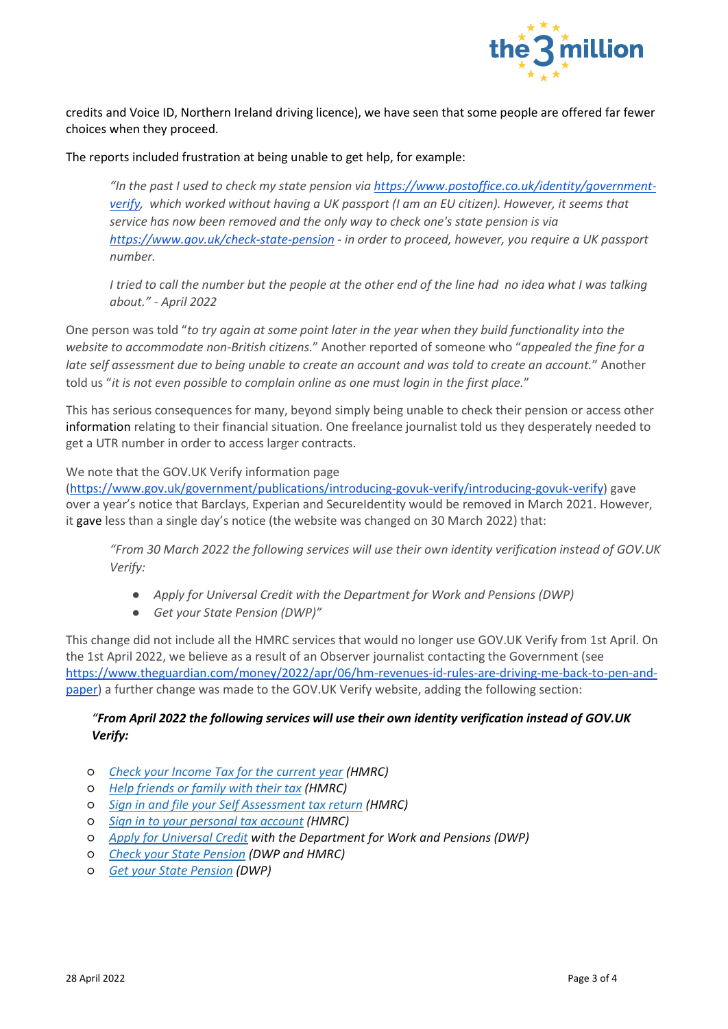

credits and Voice ID, Northern Ireland driving licence), we have seen that some people are offered far fewer choices when they proceed.

The reports included frustration at being unable to get help, for example:

*"In the past I used to check my state pension vi[a](https://www.postoffice.co.uk/identity/government-verify) [https://www.postoffice.co.uk/identity/government](https://www.postoffice.co.uk/identity/government-verify)[verify,](https://www.postoffice.co.uk/identity/government-verify) which worked without having a UK passport (I am an EU citizen). However, it seems that service has now been removed and the only way to check one's state pension is vi[a](https://www.gov.uk/check-state-pension) <https://www.gov.uk/check-state-pension> - in order to proceed, however, you require a UK passport number.* 

*I tried to call the number but the people at the other end of the line had no idea what I was talking about." - April 2022*

One person was told "*to try again at some point later in the year when they build functionality into the website to accommodate non-British citizens.*" Another reported of someone who "*appealed the fine for a late self assessment due to being unable to create an account and was told to create an account.*" Another told us "*it is not even possible to complain online as one must login in the first place.*"

This has serious consequences for many, beyond simply being unable to check their pension or access other information relating to their financial situation. One freelance journalist told us they desperately needed to get a UTR number in order to access larger contracts.

We note that the GOV.UK Verify information page

[\(https://www.gov.uk/government/publications/introducing-govuk-verify/introducing-govuk-verify\)](https://www.gov.uk/government/publications/introducing-govuk-verify/introducing-govuk-verify) gave over a year's notice that Barclays, Experian and SecureIdentity would be removed in March 2021. However, it gave less than a single day's notice (the website was changed on 30 March 2022) that:

*"From 30 March 2022 the following services will use their own identity verification instead of GOV.UK Verify:*

- *Apply for Universal Credit with the Department for Work and Pensions (DWP)*
- *Get your State Pension (DWP)"*

This change did not include all the HMRC services that would no longer use GOV.UK Verify from 1st April. On the 1st April 2022, we believe as a result of an Observer journalist contacting the Government (see [https://www.theguardian.com/money/2022/apr/06/hm-revenues-id-rules-are-driving-me-back-to-pen-and](https://www.theguardian.com/money/2022/apr/06/hm-revenues-id-rules-are-driving-me-back-to-pen-and-paper)[paper\)](https://www.theguardian.com/money/2022/apr/06/hm-revenues-id-rules-are-driving-me-back-to-pen-and-paper) a further change was made to the GOV.UK Verify website, adding the following section:

## *"From April 2022 the following services will use their own identity verification instead of GOV.UK Verify:*

- *[Check your Income Tax for the current year](https://www.gov.uk/check-income-tax-current-year) (HMRC)*
- *[Help friends or family with their tax](https://www.gov.uk/help-friends-family-tax) (HMRC)*
- *[Sign in and file your Self Assessment tax return](https://www.gov.uk/log-in-file-self-assessment-tax-return) (HMRC)*
- *[Sign in to your personal tax account](https://www.gov.uk/personal-tax-account) (HMRC)*
- *[Apply for Universal Credit](https://www.gov.uk/apply-universal-credit) with the Department for Work and Pensions (DWP)*
- *[Check your State Pension](https://www.gov.uk/check-state-pension) (DWP and HMRC)*
- *[Get your State Pension](https://www.gov.uk/get-state-pension) (DWP)*